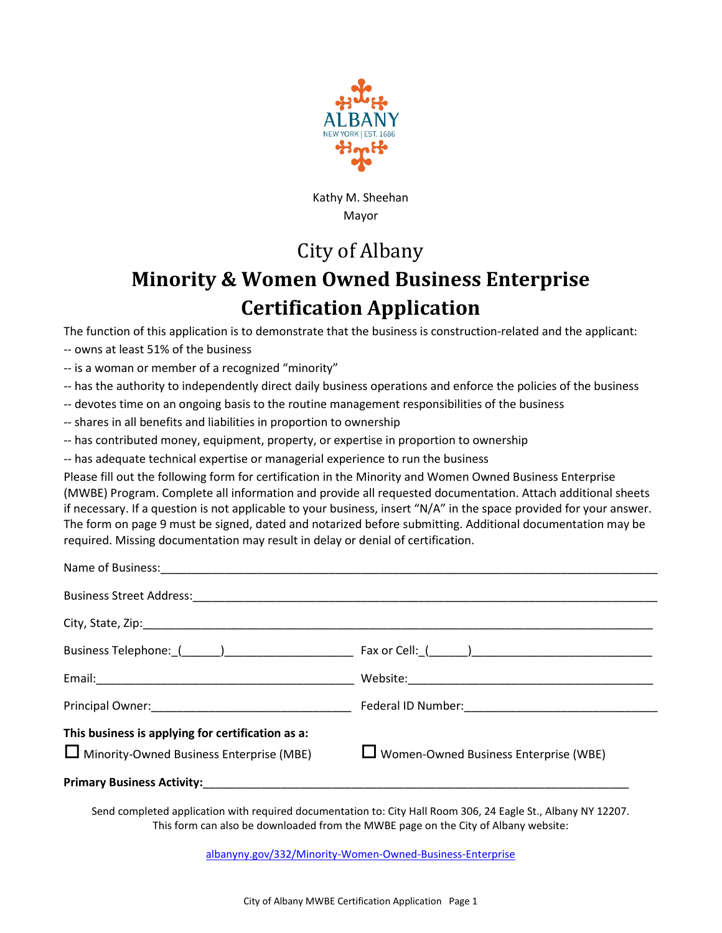

Kathy M. Sheehan Mayor

## City of Albany

## **Minority & Women Owned Business Enterprise Certification Application**

The function of this application is to demonstrate that the business is construction-related and the applicant:

-- owns at least 51% of the business

-- is a woman or member of a recognized "minority"

- -- has the authority to independently direct daily business operations and enforce the policies of the business
- -- devotes time on an ongoing basis to the routine management responsibilities of the business
- -- shares in all benefits and liabilities in proportion to ownership
- -- has contributed money, equipment, property, or expertise in proportion to ownership
- -- has adequate technical expertise or managerial experience to run the business

Please fill out the following form for certification in the Minority and Women Owned Business Enterprise (MWBE) Program. Complete all information and provide all requested documentation. Attach additional sheets if necessary. If a question is not applicable to your business, insert "N/A" in the space provided for your answer. The form on page 9 must be signed, dated and notarized before submitting. Additional documentation may be required. Missing documentation may result in delay or denial of certification.

| This business is applying for certification as a:<br>$\Box$ Minority-Owned Business Enterprise (MBE) $\Box$ Women-Owned Business Enterprise (WBE) |  |
|---------------------------------------------------------------------------------------------------------------------------------------------------|--|
|                                                                                                                                                   |  |

Send completed application with required documentation to: City Hall Room 306, 24 Eagle St., Albany NY 12207. This form can also be downloaded from the MWBE page on the City of Albany website:

albanyny.gov/332/Minority-Women-Owned-Business-Enterprise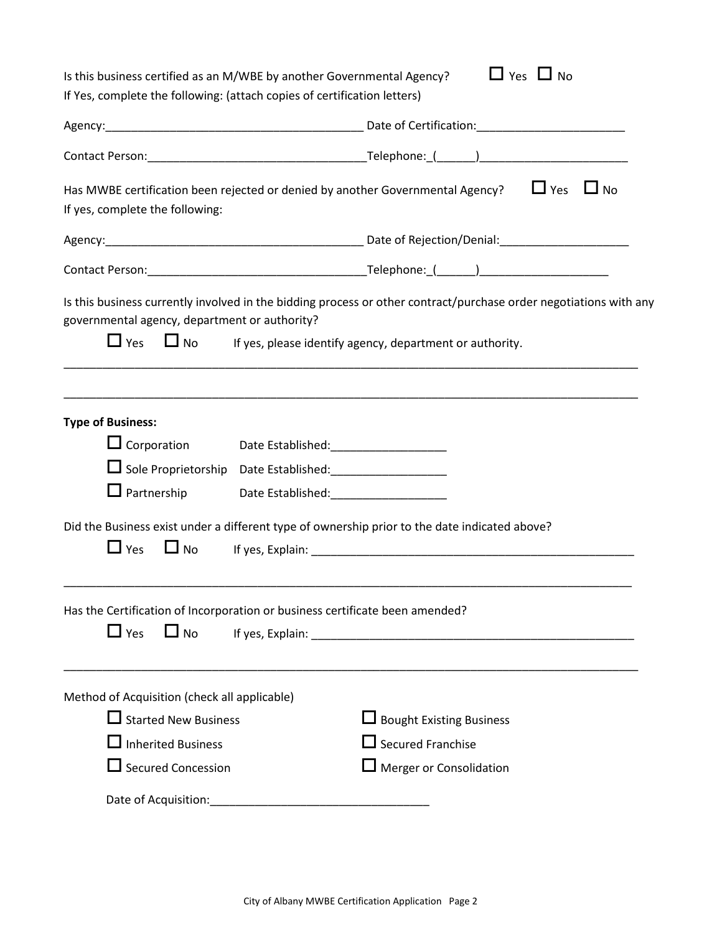| Is this business certified as an M/WBE by another Governmental Agency?                                                                                                                                                                                                                                                                         | $\Box$ Yes $\Box$ No                                                                                                                                                                                                          |  |  |
|------------------------------------------------------------------------------------------------------------------------------------------------------------------------------------------------------------------------------------------------------------------------------------------------------------------------------------------------|-------------------------------------------------------------------------------------------------------------------------------------------------------------------------------------------------------------------------------|--|--|
| If Yes, complete the following: (attach copies of certification letters)                                                                                                                                                                                                                                                                       |                                                                                                                                                                                                                               |  |  |
|                                                                                                                                                                                                                                                                                                                                                |                                                                                                                                                                                                                               |  |  |
|                                                                                                                                                                                                                                                                                                                                                |                                                                                                                                                                                                                               |  |  |
| Has MWBE certification been rejected or denied by another Governmental Agency? $\Box$ Yes $\Box$ No                                                                                                                                                                                                                                            |                                                                                                                                                                                                                               |  |  |
| If yes, complete the following:                                                                                                                                                                                                                                                                                                                |                                                                                                                                                                                                                               |  |  |
|                                                                                                                                                                                                                                                                                                                                                |                                                                                                                                                                                                                               |  |  |
|                                                                                                                                                                                                                                                                                                                                                |                                                                                                                                                                                                                               |  |  |
| governmental agency, department or authority?<br>$\Box$ Yes<br>$\Box$ No                                                                                                                                                                                                                                                                       | Is this business currently involved in the bidding process or other contract/purchase order negotiations with any<br>If yes, please identify agency, department or authority.                                                 |  |  |
| <b>Type of Business:</b><br>$\Box$ Corporation<br>Date Established:___________________<br>$\Box$ Partnership<br>Date Established: National Property of the Contract of the Contract of the Contract of the Contract of the Contract of the Contract of the Contract of the Contract of the Contract of the Contract of the Contract of the Con |                                                                                                                                                                                                                               |  |  |
| Did the Business exist under a different type of ownership prior to the date indicated above?<br>$\Box$ Yes<br>$\Box$ No                                                                                                                                                                                                                       | If yes, Explain: The Contract of the Contract of the Contract of the Contract of the Contract of the Contract of the Contract of the Contract of the Contract of the Contract of the Contract of the Contract of the Contract |  |  |
| Has the Certification of Incorporation or business certificate been amended?<br>$\Box$ Yes<br>$\Box$ No                                                                                                                                                                                                                                        |                                                                                                                                                                                                                               |  |  |
| Method of Acquisition (check all applicable)<br>$\Box$ Started New Business<br>$\Box$ Inherited Business<br>$\Box$ Secured Concession                                                                                                                                                                                                          | $\Box$ Bought Existing Business<br>$\Box$ Secured Franchise<br>Merger or Consolidation                                                                                                                                        |  |  |
|                                                                                                                                                                                                                                                                                                                                                |                                                                                                                                                                                                                               |  |  |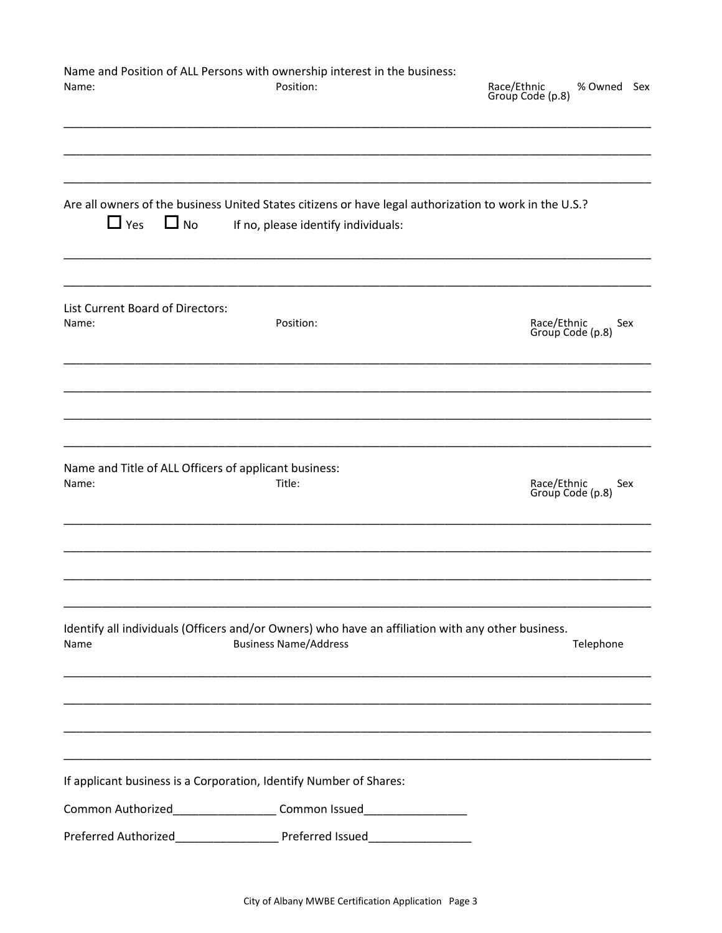| Name and Position of ALL Persons with ownership interest in the business:<br>Position:                                                                 | Race/Ethnic<br>% Owned Sex<br>Group Code (p.8) |
|--------------------------------------------------------------------------------------------------------------------------------------------------------|------------------------------------------------|
| Are all owners of the business United States citizens or have legal authorization to work in the U.S.?<br>If no, please identify individuals:          |                                                |
| Position:                                                                                                                                              | Race/Ethnic<br>Sex<br>Group Code (p.8)         |
| Name and Title of ALL Officers of applicant business:<br>Title:                                                                                        | Race/Ethnic<br>Sex<br>Group Code (p.8)         |
| Identify all individuals (Officers and/or Owners) who have an affiliation with any other business.<br><b>Business Name/Address</b>                     | Telephone                                      |
| If applicant business is a Corporation, Identify Number of Shares:<br>Common Authorized______________________Common Issued____________________________ |                                                |
|                                                                                                                                                        |                                                |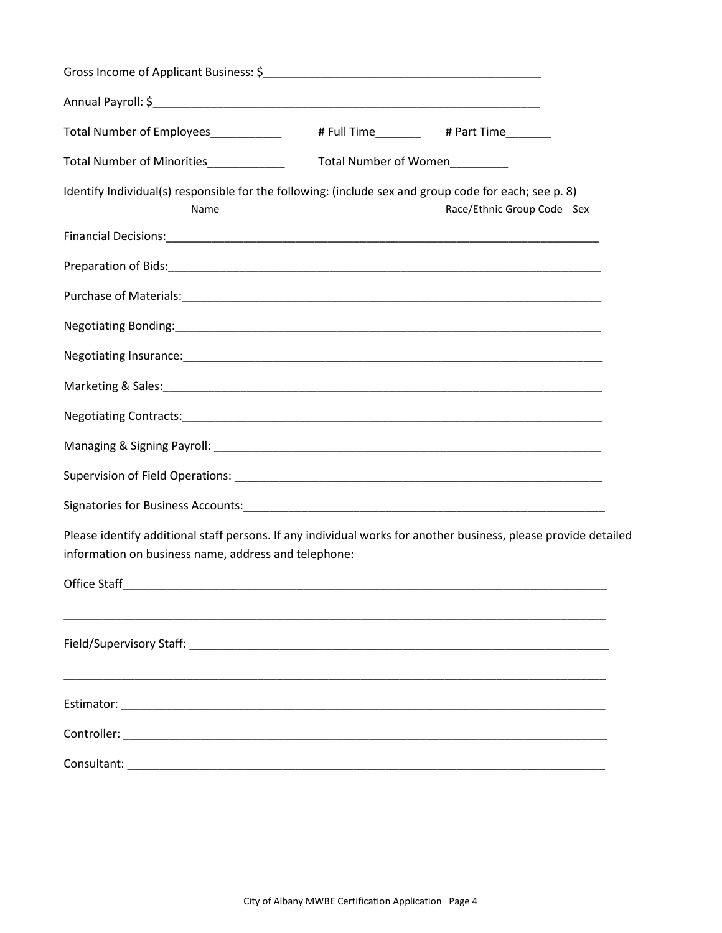| Total Number of Employees_____________                                                                                                                                  | # Full Time # Part Time |                            |  |
|-------------------------------------------------------------------------------------------------------------------------------------------------------------------------|-------------------------|----------------------------|--|
| Total Number of Minorities_____________                                                                                                                                 | Total Number of Women   |                            |  |
| Identify Individual(s) responsible for the following: (include sex and group code for each; see p. 8)<br>Name                                                           |                         | Race/Ethnic Group Code Sex |  |
|                                                                                                                                                                         |                         |                            |  |
|                                                                                                                                                                         |                         |                            |  |
|                                                                                                                                                                         |                         |                            |  |
|                                                                                                                                                                         |                         |                            |  |
|                                                                                                                                                                         |                         |                            |  |
|                                                                                                                                                                         |                         |                            |  |
|                                                                                                                                                                         |                         |                            |  |
|                                                                                                                                                                         |                         |                            |  |
|                                                                                                                                                                         |                         |                            |  |
|                                                                                                                                                                         |                         |                            |  |
| Please identify additional staff persons. If any individual works for another business, please provide detailed<br>information on business name, address and telephone: |                         |                            |  |
|                                                                                                                                                                         |                         |                            |  |
|                                                                                                                                                                         |                         |                            |  |
|                                                                                                                                                                         |                         |                            |  |
|                                                                                                                                                                         |                         |                            |  |
|                                                                                                                                                                         |                         |                            |  |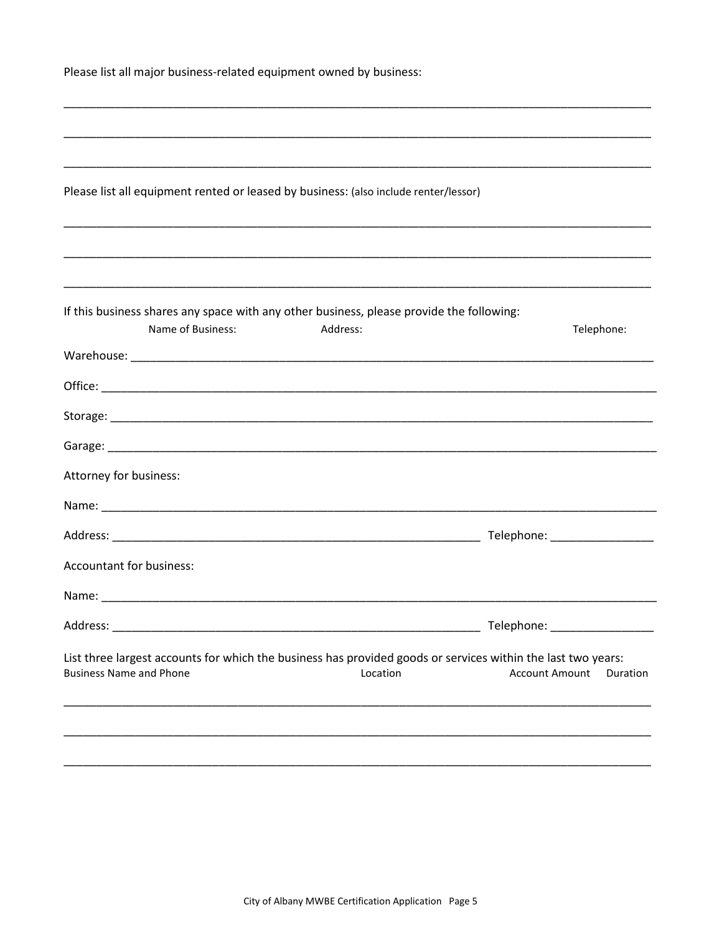| Please list all major business-related equipment owned by business:                                                                            |          |                                   |
|------------------------------------------------------------------------------------------------------------------------------------------------|----------|-----------------------------------|
|                                                                                                                                                |          |                                   |
|                                                                                                                                                |          |                                   |
|                                                                                                                                                |          |                                   |
| Please list all equipment rented or leased by business: (also include renter/lessor)                                                           |          |                                   |
|                                                                                                                                                |          |                                   |
|                                                                                                                                                |          |                                   |
|                                                                                                                                                |          |                                   |
| If this business shares any space with any other business, please provide the following:                                                       |          |                                   |
| Name of Business:                                                                                                                              | Address: | Telephone:                        |
|                                                                                                                                                |          |                                   |
|                                                                                                                                                |          |                                   |
|                                                                                                                                                |          |                                   |
|                                                                                                                                                |          |                                   |
| Attorney for business:                                                                                                                         |          |                                   |
|                                                                                                                                                |          |                                   |
|                                                                                                                                                |          |                                   |
| Accountant for business:                                                                                                                       |          |                                   |
|                                                                                                                                                |          |                                   |
|                                                                                                                                                |          | Telephone: _________________      |
| List three largest accounts for which the business has provided goods or services within the last two years:<br><b>Business Name and Phone</b> | Location | <b>Account Amount</b><br>Duration |
|                                                                                                                                                |          |                                   |
|                                                                                                                                                |          |                                   |
|                                                                                                                                                |          |                                   |
|                                                                                                                                                |          |                                   |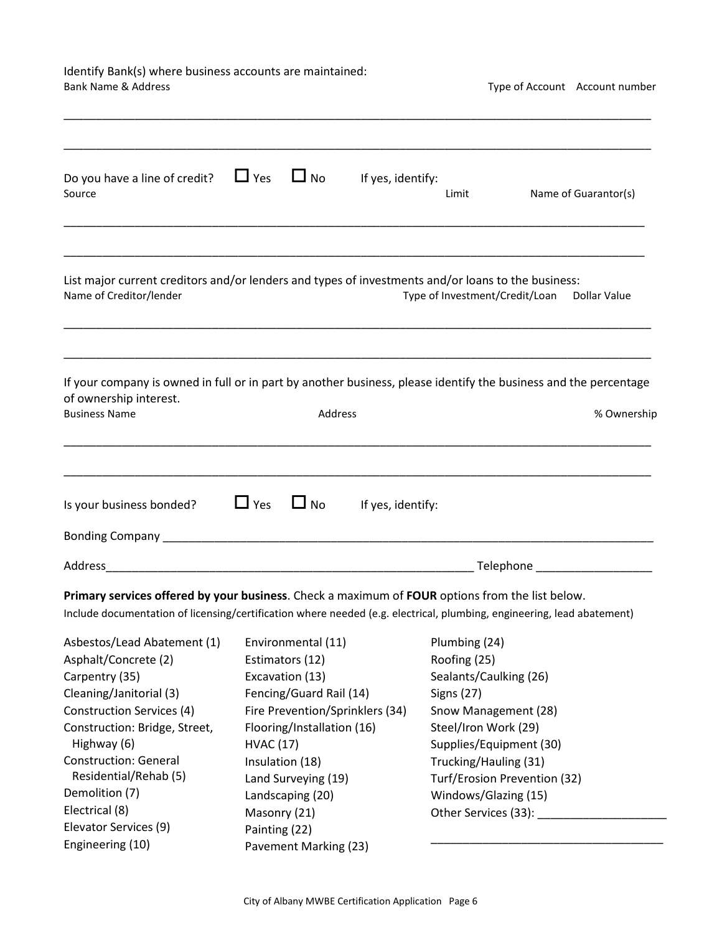# Identify Bank(s) where business accounts are maintained:<br>Bank Name & Address

Type of Account Account number

| Do you have a line of credit?<br>Source                                                                                                                                                                                   | $\Box$ Yes<br>$\Box$ No         | If yes, identify: | Limit                          | Name of Guarantor(s)         |
|---------------------------------------------------------------------------------------------------------------------------------------------------------------------------------------------------------------------------|---------------------------------|-------------------|--------------------------------|------------------------------|
| List major current creditors and/or lenders and types of investments and/or loans to the business:<br>Name of Creditor/lender                                                                                             |                                 |                   | Type of Investment/Credit/Loan | Dollar Value                 |
| If your company is owned in full or in part by another business, please identify the business and the percentage<br>of ownership interest.<br><b>Business Name</b>                                                        | Address                         |                   |                                | % Ownership                  |
| Is your business bonded?<br>Bonding Company <b>Example 2018</b> Service Service Company and Service Company and Service Company and Service Company                                                                       | $\Box$ Yes<br>$\Box$ No         | If yes, identify: |                                |                              |
|                                                                                                                                                                                                                           |                                 |                   |                                | Telephone                    |
| Primary services offered by your business. Check a maximum of FOUR options from the list below.<br>Include documentation of licensing/certification where needed (e.g. electrical, plumbing, engineering, lead abatement) |                                 |                   |                                |                              |
| Asbestos/Lead Abatement (1)                                                                                                                                                                                               | Environmental (11)              |                   | Plumbing (24)                  |                              |
| Asphalt/Concrete (2)                                                                                                                                                                                                      | Estimators (12)                 |                   | Roofing (25)                   |                              |
| Carpentry (35)                                                                                                                                                                                                            | Excavation (13)                 |                   | Sealants/Caulking (26)         |                              |
| Cleaning/Janitorial (3)                                                                                                                                                                                                   | Fencing/Guard Rail (14)         |                   | <b>Signs (27)</b>              |                              |
| <b>Construction Services (4)</b>                                                                                                                                                                                          | Fire Prevention/Sprinklers (34) |                   | Snow Management (28)           |                              |
| Construction: Bridge, Street,                                                                                                                                                                                             | Flooring/Installation (16)      |                   | Steel/Iron Work (29)           |                              |
| Highway (6)                                                                                                                                                                                                               | <b>HVAC (17)</b>                |                   | Supplies/Equipment (30)        |                              |
| <b>Construction: General</b>                                                                                                                                                                                              | Insulation (18)                 |                   | Trucking/Hauling (31)          |                              |
| Residential/Rehab (5)                                                                                                                                                                                                     | Land Surveying (19)             |                   |                                | Turf/Erosion Prevention (32) |
| Demolition (7)                                                                                                                                                                                                            | Landscaping (20)                |                   | Windows/Glazing (15)           |                              |
| Electrical (8)                                                                                                                                                                                                            | Masonry (21)                    |                   | Other Services (33):           |                              |
| Elevator Services (9)                                                                                                                                                                                                     | Painting (22)                   |                   |                                |                              |
| Engineering (10)                                                                                                                                                                                                          | Pavement Marking (23)           |                   |                                |                              |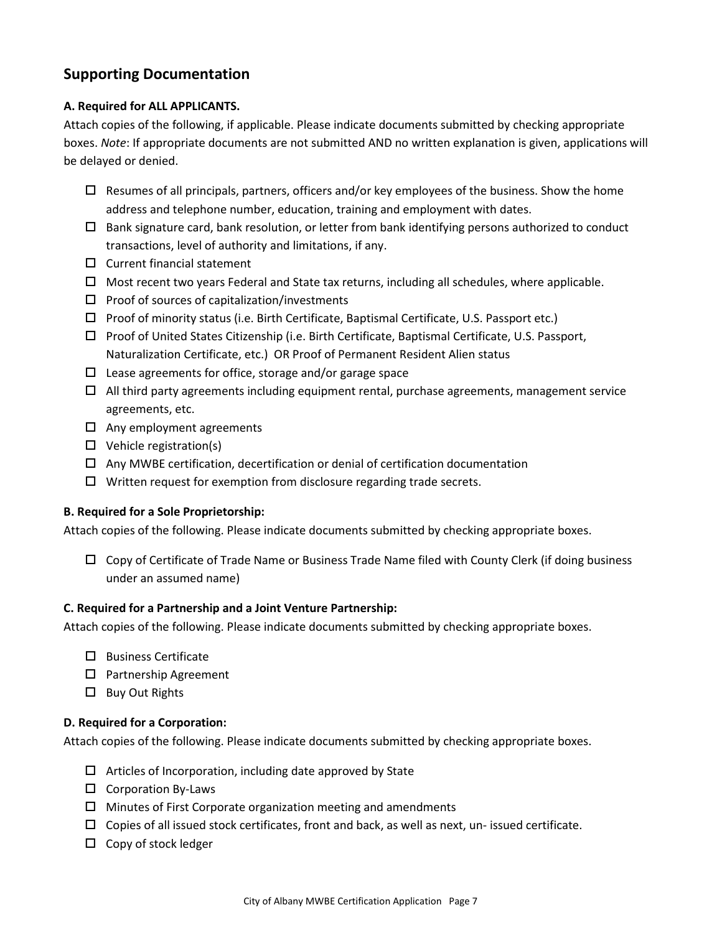## **Supporting Documentation**

#### **A. Required for ALL APPLICANTS.**

Attach copies of the following, if applicable. Please indicate documents submitted by checking appropriate boxes. *Note*: If appropriate documents are not submitted AND no written explanation is given, applications will be delayed or denied.

- $\Box$  Resumes of all principals, partners, officers and/or key employees of the business. Show the home address and telephone number, education, training and employment with dates.
- $\Box$  Bank signature card, bank resolution, or letter from bank identifying persons authorized to conduct transactions, level of authority and limitations, if any.
- $\Box$  Current financial statement
- $\Box$  Most recent two years Federal and State tax returns, including all schedules, where applicable.
- $\square$  Proof of sources of capitalization/investments
- $\Box$  Proof of minority status (i.e. Birth Certificate, Baptismal Certificate, U.S. Passport etc.)
- Proof of United States Citizenship (i.e. Birth Certificate, Baptismal Certificate, U.S. Passport, Naturalization Certificate, etc.) OR Proof of Permanent Resident Alien status
- $\Box$  Lease agreements for office, storage and/or garage space
- $\Box$  All third party agreements including equipment rental, purchase agreements, management service agreements, etc.
- $\Box$  Any employment agreements
- $\Box$  Vehicle registration(s)
- $\Box$  Any MWBE certification, decertification or denial of certification documentation
- $\Box$  Written request for exemption from disclosure regarding trade secrets.

#### **B. Required for a Sole Proprietorship:**

Attach copies of the following. Please indicate documents submitted by checking appropriate boxes.

 $\Box$  Copy of Certificate of Trade Name or Business Trade Name filed with County Clerk (if doing business under an assumed name)

#### **C. Required for a Partnership and a Joint Venture Partnership:**

Attach copies of the following. Please indicate documents submitted by checking appropriate boxes.

- $\square$  Business Certificate
- □ Partnership Agreement
- $\square$  Buy Out Rights

#### **D. Required for a Corporation:**

Attach copies of the following. Please indicate documents submitted by checking appropriate boxes.

- $\Box$  Articles of Incorporation, including date approved by State
- $\square$  Corporation By-Laws
- $\Box$  Minutes of First Corporate organization meeting and amendments
- $\Box$  Copies of all issued stock certificates, front and back, as well as next, un- issued certificate.
- $\Box$  Copy of stock ledger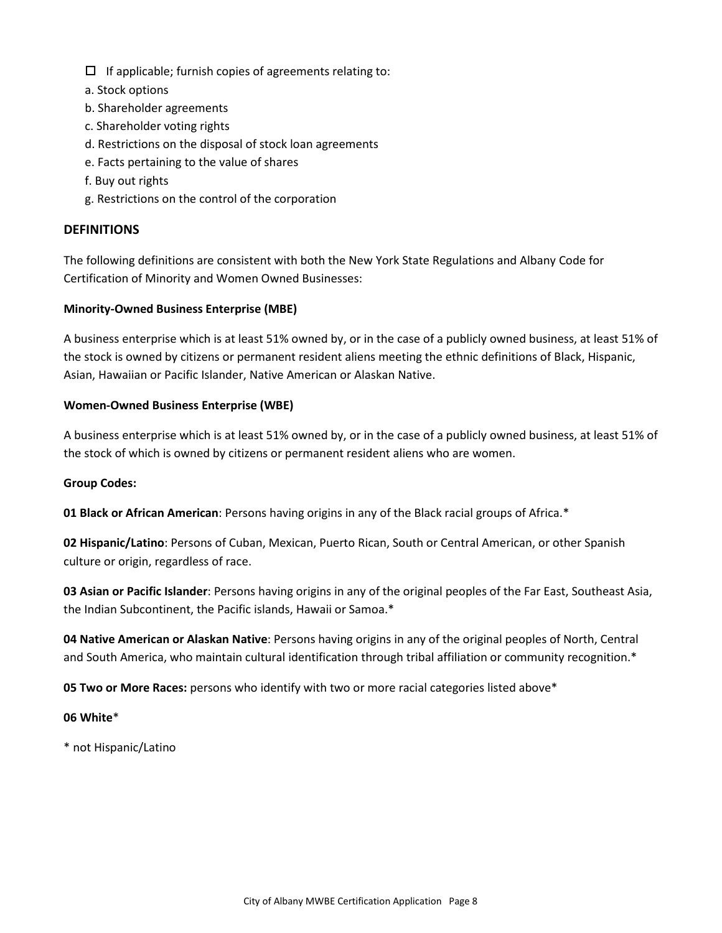- $\Box$  If applicable; furnish copies of agreements relating to:
- a. Stock options
- b. Shareholder agreements
- c. Shareholder voting rights
- d. Restrictions on the disposal of stock loan agreements
- e. Facts pertaining to the value of shares
- f. Buy out rights
- g. Restrictions on the control of the corporation

#### **DEFINITIONS**

The following definitions are consistent with both the New York State Regulations and Albany Code for Certification of Minority and Women Owned Businesses:

#### **Minority-Owned Business Enterprise (MBE)**

A business enterprise which is at least 51% owned by, or in the case of a publicly owned business, at least 51% of the stock is owned by citizens or permanent resident aliens meeting the ethnic definitions of Black, Hispanic, Asian, Hawaiian or Pacific Islander, Native American or Alaskan Native.

#### **Women-Owned Business Enterprise (WBE)**

A business enterprise which is at least 51% owned by, or in the case of a publicly owned business, at least 51% of the stock of which is owned by citizens or permanent resident aliens who are women.

#### **Group Codes:**

**01 Black or African American**: Persons having origins in any of the Black racial groups of Africa.\*

**02 Hispanic/Latino**: Persons of Cuban, Mexican, Puerto Rican, South or Central American, or other Spanish culture or origin, regardless of race.

**03 Asian or Pacific Islander**: Persons having origins in any of the original peoples of the Far East, Southeast Asia, the Indian Subcontinent, the Pacific islands, Hawaii or Samoa.\*

**04 Native American or Alaskan Native**: Persons having origins in any of the original peoples of North, Central and South America, who maintain cultural identification through tribal affiliation or community recognition.\*

**05 Two or More Races:** persons who identify with two or more racial categories listed above\*

#### **06 White**\*

\* not Hispanic/Latino